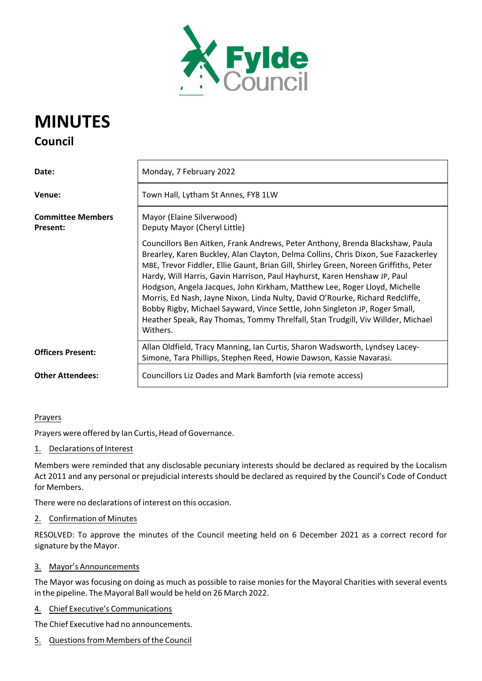

# **MINUTES Council**  $\sqrt{ }$

| Date:                    | Monday, 7 February 2022                                                                                                                                                                                                                                                                                                                                                                                                                                                                                                                                                                                                                                                              |
|--------------------------|--------------------------------------------------------------------------------------------------------------------------------------------------------------------------------------------------------------------------------------------------------------------------------------------------------------------------------------------------------------------------------------------------------------------------------------------------------------------------------------------------------------------------------------------------------------------------------------------------------------------------------------------------------------------------------------|
| Venue:                   | Town Hall, Lytham St Annes, FY8 1LW                                                                                                                                                                                                                                                                                                                                                                                                                                                                                                                                                                                                                                                  |
| <b>Committee Members</b> | Mayor (Elaine Silverwood)                                                                                                                                                                                                                                                                                                                                                                                                                                                                                                                                                                                                                                                            |
| Present:                 | Deputy Mayor (Cheryl Little)                                                                                                                                                                                                                                                                                                                                                                                                                                                                                                                                                                                                                                                         |
|                          | Councillors Ben Aitken, Frank Andrews, Peter Anthony, Brenda Blackshaw, Paula<br>Brearley, Karen Buckley, Alan Clayton, Delma Collins, Chris Dixon, Sue Fazackerley<br>MBE, Trevor Fiddler, Ellie Gaunt, Brian Gill, Shirley Green, Noreen Griffiths, Peter<br>Hardy, Will Harris, Gavin Harrison, Paul Hayhurst, Karen Henshaw JP, Paul<br>Hodgson, Angela Jacques, John Kirkham, Matthew Lee, Roger Lloyd, Michelle<br>Morris, Ed Nash, Jayne Nixon, Linda Nulty, David O'Rourke, Richard Redcliffe,<br>Bobby Rigby, Michael Sayward, Vince Settle, John Singleton JP, Roger Small,<br>Heather Speak, Ray Thomas, Tommy Threlfall, Stan Trudgill, Viv Willder, Michael<br>Withers. |
| <b>Officers Present:</b> | Allan Oldfield, Tracy Manning, Ian Curtis, Sharon Wadsworth, Lyndsey Lacey-<br>Simone, Tara Phillips, Stephen Reed, Howie Dawson, Kassie Navarasi.                                                                                                                                                                                                                                                                                                                                                                                                                                                                                                                                   |
| <b>Other Attendees:</b>  | Councillors Liz Oades and Mark Bamforth (via remote access)                                                                                                                                                                                                                                                                                                                                                                                                                                                                                                                                                                                                                          |

## Prayers

Prayers were offered by Ian Curtis, Head of Governance.

## 1. Declarations of Interest

Members were reminded that any disclosable pecuniary interests should be declared as required by the Localism Act 2011 and any personal or prejudicial interests should be declared as required by the Council's Code of Conduct for Members.

There were no declarations of interest on this occasion.

## 2. Confirmation of Minutes

RESOLVED: To approve the minutes of the Council meeting held on 6 December 2021 as a correct record for signature by the Mayor.

## 3. Mayor's Announcements

The Mayor was focusing on doing as much as possible to raise monies for the Mayoral Charities with several events in the pipeline. The Mayoral Ball would be held on 26 March 2022.

## 4. Chief Executive's Communications

The Chief Executive had no announcements.

## 5. Questions from Members of the Council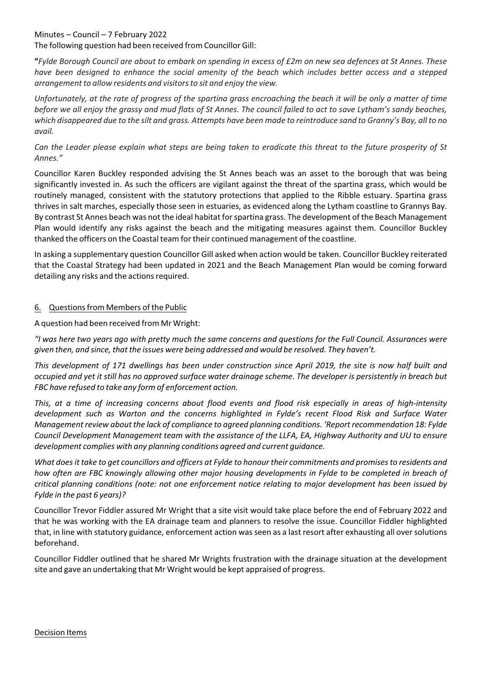Minutes – Council – 7 February 2022

The following question had been received from Councillor Gill:

"Fylde Borough Council are about to embark on spending in excess of £2m on new sea defences at St Annes. These have been designed to enhance the social amenity of the beach which includes better access and a stepped *arrangement to allow residents and visitorsto sit and enjoy the view.*

Unfortunately, at the rate of progress of the spartina grass encroaching the beach it will be only a matter of time before we all enjoy the grassy and mud flats of St Annes. The council failed to act to save Lytham's sandy beaches, which disappeared due to the silt and grass. Attempts have been made to reintroduce sand to Granny's Bay, all to no *avail.*

Can the Leader please explain what steps are being taken to eradicate this threat to the future prosperity of St *Annes."*

Councillor Karen Buckley responded advising the St Annes beach was an asset to the borough that was being significantly invested in. As such the officers are vigilant against the threat of the spartina grass, which would be routinely managed, consistent with the statutory protections that applied to the Ribble estuary. Spartina grass thrives in salt marches, especially those seen in estuaries, as evidenced along the Lytham coastline to Grannys Bay. By contrast St Annes beach was not the ideal habitat forspartina grass. The development of the Beach Management Plan would identify any risks against the beach and the mitigating measures against them. Councillor Buckley thanked the officers on the Coastal team fortheir continued management of the coastline.

In asking a supplementary question Councillor Gill asked when action would be taken. Councillor Buckley reiterated that the Coastal Strategy had been updated in 2021 and the Beach Management Plan would be coming forward detailing any risks and the actions required.

#### 6. Questions from Members of the Public

A question had been received from Mr Wright:

"I was here two years ago with pretty much the same concerns and questions for the Full Council. Assurances were *given then, and since, that the issues were being addressed and would be resolved. They haven't.*

This development of 171 dwellings has been under construction since April 2019, the site is now half built and occupied and yet it still has no approved surface water drainage scheme. The developer is persistently in breach but *FBC have refused to take any form of enforcement action.*

This, at a time of increasing concerns about flood events and flood risk especially in areas of high-intensity *development such as Warton and the concerns highlighted in Fylde's recent Flood Risk and Surface Water Management review about the lack of compliance to agreed planning conditions. 'Report recommendation 18: Fylde* Council Development Management team with the assistance of the LLFA, EA, Highway Authority and UU to ensure *development complies with any planning conditions agreed and current guidance.*

What does it take to get councillors and officers at Fylde to honour their commitments and promises to residents and how often are FBC knowingly allowing other major housing developments in Fylde to be completed in breach of *critical planning conditions (note: not one enforcement notice relating to major development has been issued by Fylde in the past 6 years)?*

Councillor Trevor Fiddler assured Mr Wright that a site visit would take place before the end of February 2022 and that he was working with the EA drainage team and planners to resolve the issue. Councillor Fiddler highlighted that, in line with statutory guidance, enforcement action wasseen as a last resort after exhausting all oversolutions beforehand.

Councillor Fiddler outlined that he shared Mr Wrights frustration with the drainage situation at the development site and gave an undertaking that Mr Wright would be kept appraised of progress.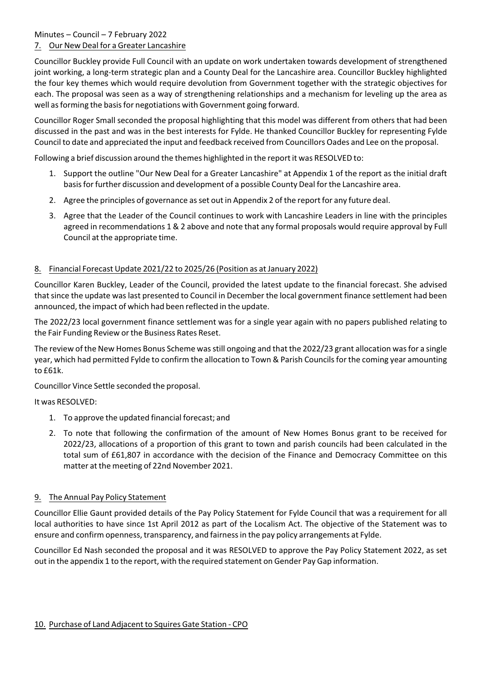Councillor Buckley provide Full Council with an update on work undertaken towards development of strengthened joint working, a long-term strategic plan and a County Deal for the Lancashire area. Councillor Buckley highlighted the four key themes which would require devolution from Government together with the strategic objectives for each. The proposal was seen as a way of strengthening relationships and a mechanism for leveling up the area as well as forming the basis for negotiations with Government going forward.

Councillor Roger Small seconded the proposal highlighting that this model was different from others that had been discussed in the past and was in the best interests for Fylde. He thanked Councillor Buckley for representing Fylde Council to date and appreciated the input and feedback received from Councillors Oades and Lee on the proposal.

Following a brief discussion around the themes highlighted in the report it was RESOLVED to:

- 1. Support the outline "Our New Deal for a Greater Lancashire" at Appendix 1 of the report as the initial draft basis for further discussion and development of a possible County Deal for the Lancashire area.
- 2. Agree the principles of governance as set out in Appendix 2 of the report for any future deal.
- 3. Agree that the Leader of the Council continues to work with Lancashire Leaders in line with the principles agreed in recommendations 1 & 2 above and note that any formal proposals would require approval by Full Council at the appropriate time.

## 8. Financial Forecast Update 2021/22 to 2025/26 (Position as at January 2022)

Councillor Karen Buckley, Leader of the Council, provided the latest update to the financial forecast. She advised that since the update was last presented to Council in December the local government finance settlement had been announced, the impact of which had been reflected in the update.

The 2022/23 local government finance settlement was for a single year again with no papers published relating to the Fair Funding Review orthe Business Rates Reset.

The review of the New Homes Bonus Scheme wasstill ongoing and that the 2022/23 grant allocation wasfor a single year, which had permitted Fylde to confirm the allocation to Town & Parish Councils for the coming year amounting to £61k.

Councillor Vince Settle seconded the proposal.

It was RESOLVED:

- 1. To approve the updated financial forecast; and
- 2. To note that following the confirmation of the amount of New Homes Bonus grant to be received for 2022/23, allocations of a proportion of this grant to town and parish councils had been calculated in the total sum of £61,807 in accordance with the decision of the Finance and Democracy Committee on this matter at the meeting of 22nd November 2021.

## 9. The Annual Pay Policy Statement

Councillor Ellie Gaunt provided details of the Pay Policy Statement for Fylde Council that was a requirement for all local authorities to have since 1st April 2012 as part of the Localism Act. The objective of the Statement was to ensure and confirm openness, transparency, and fairnessin the pay policy arrangements at Fylde.

Councillor Ed Nash seconded the proposal and it was RESOLVED to approve the Pay Policy Statement 2022, as set out in the appendix 1 to the report, with the required statement on Gender Pay Gap information.